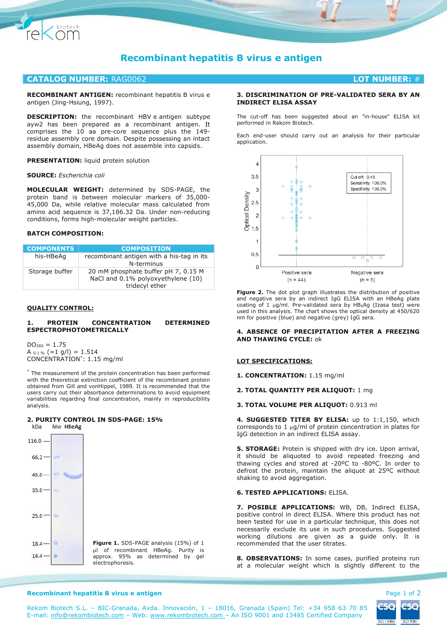

# **Recombinant hepatitis B virus e antigen**

# **CATALOG NUMBER:** RAG0062 **LOT NUMBER:** #

**RECOMBINANT ANTIGEN:** recombinant hepatitis B virus e antigen (Jing-Hsiung, 1997).

**DESCRIPTION:** the recombinant HBV e antigen subtype ayw2 has been prepared as a recombinant antigen. It comprises the 10 aa pre-core sequence plus the 149 residue assembly core domain. Despite possessing an intact assembly domain, HBeAg does not assemble into capsids.

**PRESENTATION:** liquid protein solution

**SOURCE:** *Escherichia coli*

**MOLECULAR WEIGHT:** determined by SDS-PAGE, the protein band is between molecular markers of 35,000- 45,000 Da, while relative molecular mass calculated from amino acid sequence is 37,186.32 Da. Under non-reducing conditions, forms high-molecular weight particles.

# **BATCH COMPOSITION:**

| <b>COMPONENTS</b> | <b>COMPOSITION</b>                                                                          |
|-------------------|---------------------------------------------------------------------------------------------|
| his-HBeAg         | recombinant antigen with a his-tag in its<br>N-terminus                                     |
| Storage buffer    | 20 mM phosphate buffer pH 7, 0.15 M<br>NaCl and 0.1% polyoxyethylene (10)<br>tridecyl ether |

# **QUALITY CONTROL:**

#### **1. PROTEIN CONCENTRATION DETERMINED ESPECTROPHOTOMETRICALLY**

 $DO<sub>280</sub> = 1.75$ A  $_{0.1\%}$  (=1 g/l) = 1.514 CONCENTRATION\* : 1.15 mg/ml

\* The measurement of the protein concentration has been performed with the theoretical extinction coefficient of the recombinant protein obtained from Gill and vonHippel, 1989. It is recommended that the users carry out their absorbance determinations to avoid equipment variabilities regarding final concentration, mainly in reproducibility analysis.

#### **2. PURITY CONTROL IN SDS-PAGE: 15%**  $kDa$



# **3. DISCRIMINATION OF PRE-VALIDATED SERA BY AN INDIRECT ELISA ASSAY**

The cut-off has been suggested about an "in-house" ELISA kit performed in Rekom Biotech.

Each end-user should carry out an analysis for their particular application.



**Figure 2.** The dot plot graph illustrates the distribution of positive and negative sera by an indirect IgG ELISA with an HBeAg plate coating of 1 µg/ml. Pre-validated sera by HBsAg (Izasa test) were used in this analysis. The chart shows the optical density at 450/620 nm for positive (blue) and negative (grey) IgG sera.

#### **4. ABSENCE OF PRECIPITATION AFTER A FREEZING AND THAWING CYCLE:** ok

#### **LOT SPECIFICATIONS:**

**1. CONCENTRATION:** 1.15 mg/ml

**2. TOTAL QUANTITY PER ALIQUOT:** 1 mg

**3. TOTAL VOLUME PER ALIQUOT:** 0.913 ml

**4. SUGGESTED TITER BY ELISA:** up to 1:1,150, which corresponds to 1  $\mu$ g/ml of protein concentration in plates for IgG detection in an indirect ELISA assay.

**5. STORAGE:** Protein is shipped with dry ice. Upon arrival, it should be aliquoted to avoid repeated freezing and thawing cycles and stored at -20ºC to -80ºC. In order to defrost the protein, maintain the aliquot at 25ºC without shaking to avoid aggregation.

# **6. TESTED APPLICATIONS:** ELISA.

**7. POSIBLE APPLICATIONS:** WB, DB, Indirect ELISA, positive control in direct ELISA. Where this product has not been tested for use in a particular technique, this does not necessarily exclude its use in such procedures. Suggested working dilutions are given as a guide only. It is recommended that the user titrates.

**8. OBSERVATIONS:** In some cases, purified proteins run at a molecular weight which is slightly different to the



#### **Recombinant hepatitis B virus e antigen <b>Page 1 of 2** and 2 and 2 and 2 and 2 and 2 and 2 and 2 and 2 and 2 and 2 and 2 and 2 and 2 and 2 and 2 and 2 and 2 and 2 and 2 and 2 and 2 and 2 and 2 and 2 and 2 and 2 and 2 and 2